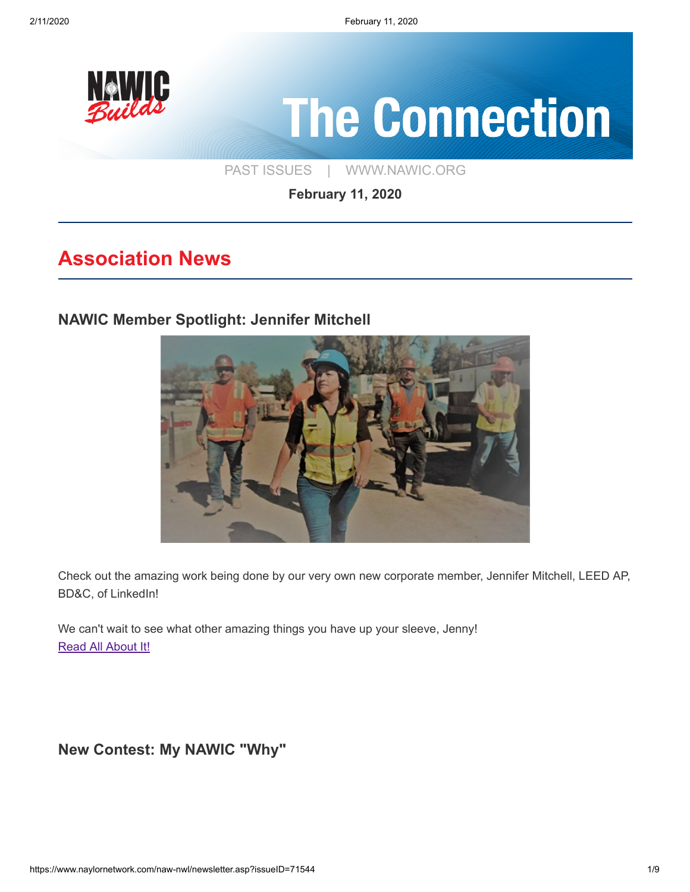

**February 11, 2020**

# **Association News**

### **[NAWIC Member Spotlight: Jennifer Mitchell](https://www.linkedin.com/pulse/im-mission-build-silicon-valley-sustainable-concrete-mitchell/)**



Check out the amazing work being done by our very own new corporate member, Jennifer Mitchell, LEED AP, BD&C, of LinkedIn!

We can't wait to see what other amazing things you have up your sleeve, Jenny! [Read All About It!](https://www.linkedin.com/pulse/im-mission-build-silicon-valley-sustainable-concrete-mitchell/)

**[New Contest: My NAWIC "Why"](https://www.naylornetwork.com/naw-nwl/articles/index.asp?aid=601943&issueID=71544)**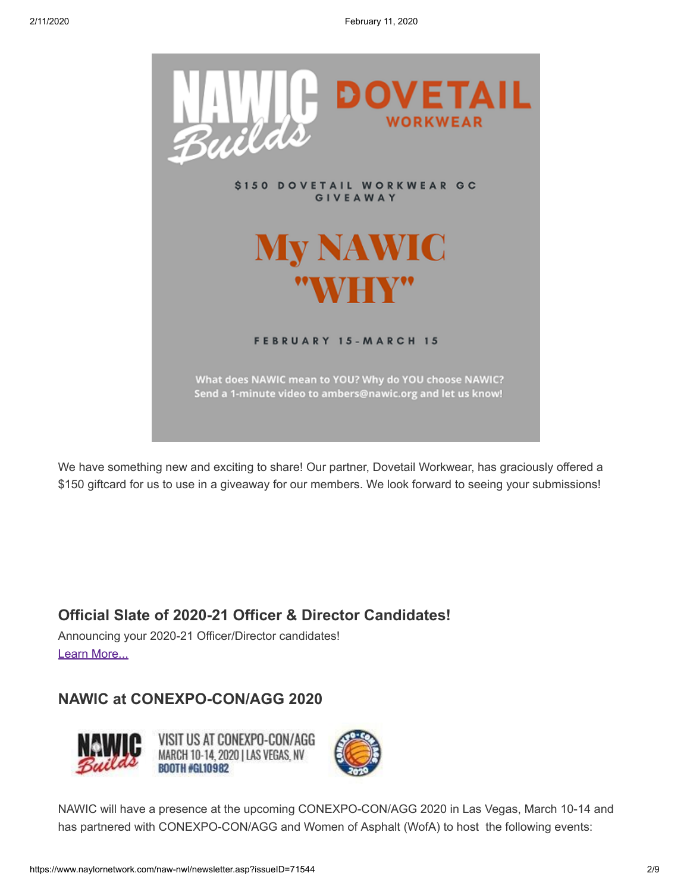

We have something new and exciting to share! Our partner, Dovetail Workwear, has graciously offered a \$150 giftcard for us to use in a giveaway for our members. We look forward to seeing your submissions!

### **[Official Slate of 2020-21 Officer & Director Candidates!](https://www.naylornetwork.com/naw-nwl/pdf/2020_Officer_Candidates_(1).pdf)**

Announcing your 2020-21 Officer/Director candidates! [Learn More...](https://www.naylornetwork.com/naw-nwl/pdf/2020_Officer_Candidates_(1).pdf)

### **[NAWIC at CONEXPO-CON/AGG 2020](https://www.naylornetwork.com/naw-nwl/articles/index.asp?aid=601948&issueID=71544)**



VISIT US AT CONEXPO-CON/AGG MARCH 10-14, 2020 I LAS VEGAS, NV **BOOTH #GL10982** 



NAWIC will have a presence at the upcoming CONEXPO-CON/AGG 2020 in Las Vegas, March 10-14 and has partnered with CONEXPO-CON/AGG and Women of Asphalt (WofA) to host the following events: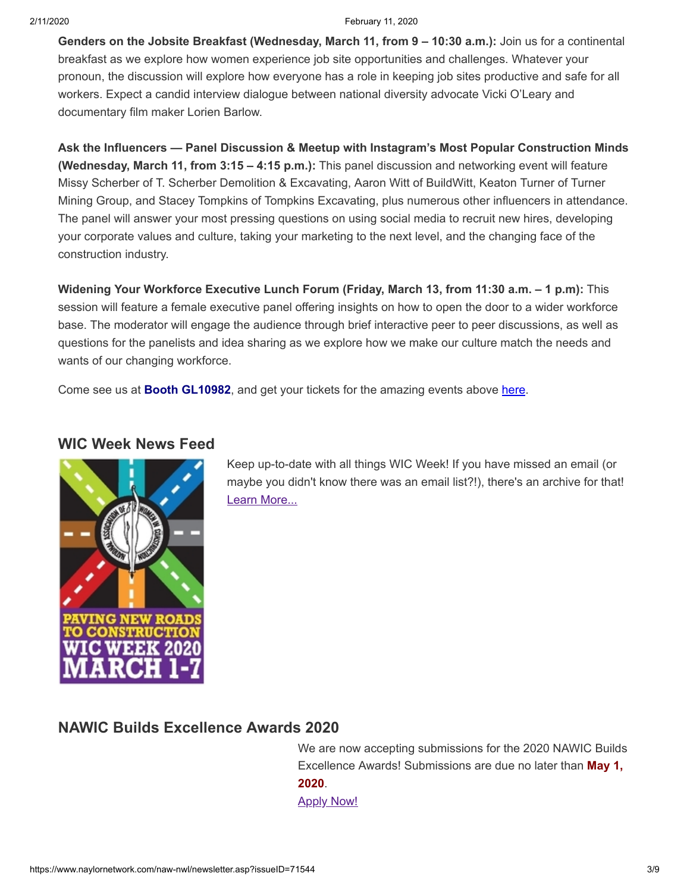2/11/2020 February 11, 2020

**Genders on the Jobsite Breakfast (Wednesday, March 11, from 9 – 10:30 a.m.):** Join us for a continental breakfast as we explore how women experience job site opportunities and challenges. Whatever your pronoun, the discussion will explore how everyone has a role in keeping job sites productive and safe for all workers. Expect a candid interview dialogue between national diversity advocate Vicki O'Leary and documentary film maker Lorien Barlow.

**Ask the Influencers — Panel Discussion & Meetup with Instagram's Most Popular Construction Minds (Wednesday, March 11, from 3:15 – 4:15 p.m.):** This panel discussion and networking event will feature Missy Scherber of T. Scherber Demolition & Excavating, Aaron Witt of BuildWitt, Keaton Turner of Turner Mining Group, and Stacey Tompkins of Tompkins Excavating, plus numerous other influencers in attendance. The panel will answer your most pressing questions on using social media to recruit new hires, developing your corporate values and culture, taking your marketing to the next level, and the changing face of the construction industry.

**Widening Your Workforce Executive Lunch Forum (Friday, March 13, from 11:30 a.m. – 1 p.m):** This session will feature a female executive panel offering insights on how to open the door to a wider workforce base. The moderator will engage the audience through brief interactive peer to peer discussions, as well as questions for the panelists and idea sharing as we explore how we make our culture match the needs and wants of our changing workforce.

Come see us at **Booth GL10982**, and get your tickets for the amazing events above [here](https://www.conexpoconagg.com/visit/what-to-see/#women-events).

#### **[WIC Week News Feed](https://us20.campaign-archive.com/home/?u=5ec7bd4db1ba84c03c4d02574&id=8d8c5a5635)**



Keep up-to-date with all things WIC Week! If you have missed an email (or maybe you didn't know there was an email list?!), there's an archive for that! [Learn More...](https://us20.campaign-archive.com/home/?u=5ec7bd4db1ba84c03c4d02574&id=8d8c5a5635)

#### **[NAWIC Builds Excellence Awards 2020](https://www.naylornetwork.com/naw-nwl/pdf/2020_Excellence_Awards_V3.pdf)**

 We are now accepting submissions for the 2020 NAWIC Builds Excellence Awards! Submissions are due no later than **May 1, 2020**. **[Apply Now!](https://www.naylornetwork.com/naw-nwl/pdf/2020_Excellence_Awards_V3.pdf)**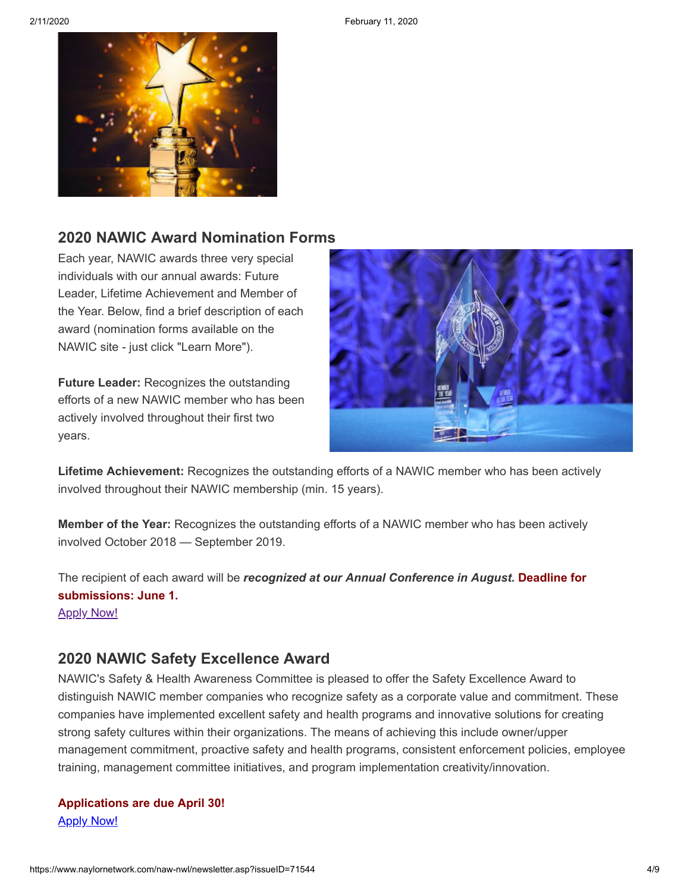

### **[2020 NAWIC Award Nomination Forms](https://www.nawic.org/nawic/Awards.asp)**

Each year, NAWIC awards three very special individuals with our annual awards: Future Leader, Lifetime Achievement and Member of the Year. Below, find a brief description of each award (nomination forms available on the NAWIC site - just click "Learn More").

**Future Leader:** Recognizes the outstanding efforts of a new NAWIC member who has been actively involved throughout their first two years.



**Lifetime Achievement:** Recognizes the outstanding efforts of a NAWIC member who has been actively involved throughout their NAWIC membership (min. 15 years).

**Member of the Year:** Recognizes the outstanding efforts of a NAWIC member who has been actively involved October 2018 — September 2019.

The recipient of each award will be *recognized at our Annual Conference in August.* **Deadline for submissions: June 1.**

**[Apply Now!](https://www.nawic.org/nawic/Awards.asp)** 

### **[2020 NAWIC Safety Excellence Award](https://www.naylornetwork.com/naw-nwl/pdf/2020_Safety_Excellence_Award_Application_(1).pdf)**

NAWIC's Safety & Health Awareness Committee is pleased to offer the Safety Excellence Award to distinguish NAWIC member companies who recognize safety as a corporate value and commitment. These companies have implemented excellent safety and health programs and innovative solutions for creating strong safety cultures within their organizations. The means of achieving this include owner/upper management commitment, proactive safety and health programs, consistent enforcement policies, employee training, management committee initiatives, and program implementation creativity/innovation.

**Applications are due April 30! [Apply Now!](https://www.naylornetwork.com/naw-nwl/pdf/2020_Safety_Excellence_Award_Application_(1).pdf)**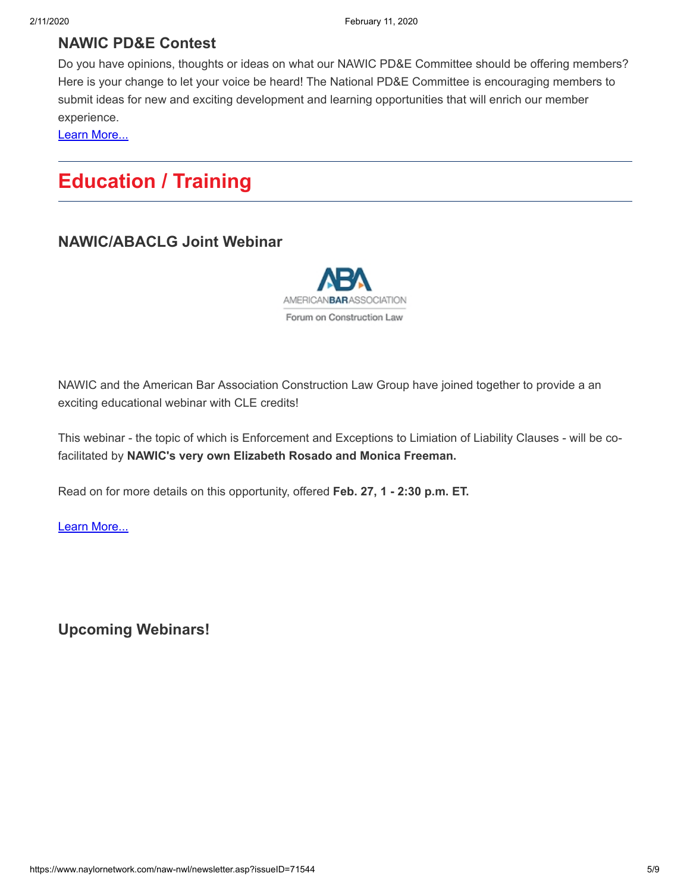### **[NAWIC PD&E Contest](https://www.naylornetwork.com/naw-nwl/pdf/NAWIC_PDE_Poster_2020.01.29_(1).pdf)**

Do you have opinions, thoughts or ideas on what our NAWIC PD&E Committee should be offering members? Here is your change to let your voice be heard! The National PD&E Committee is encouraging members to submit ideas for new and exciting development and learning opportunities that will enrich our member experience.

[Learn More...](https://www.naylornetwork.com/naw-nwl/pdf/NAWIC_PDE_Poster_2020.01.29_(1).pdf)

# **Education / Training**

#### **[NAWIC/ABACLG Joint Webinar](https://www.naylornetwork.com/naw-nwl/pdf/ABA.pdf)**



NAWIC and the American Bar Association Construction Law Group have joined together to provide a an exciting educational webinar with CLE credits!

This webinar - the topic of which is Enforcement and Exceptions to Limiation of Liability Clauses - will be cofacilitated by **NAWIC's very own Elizabeth Rosado and Monica Freeman.**

Read on for more details on this opportunity, offered **Feb. 27, 1 - 2:30 p.m. ET.**

[Learn More...](https://www.naylornetwork.com/naw-nwl/pdf/ABA.pdf)

**[Upcoming Webinars!](https://www.nawic.org/nawic/Webinars.asp)**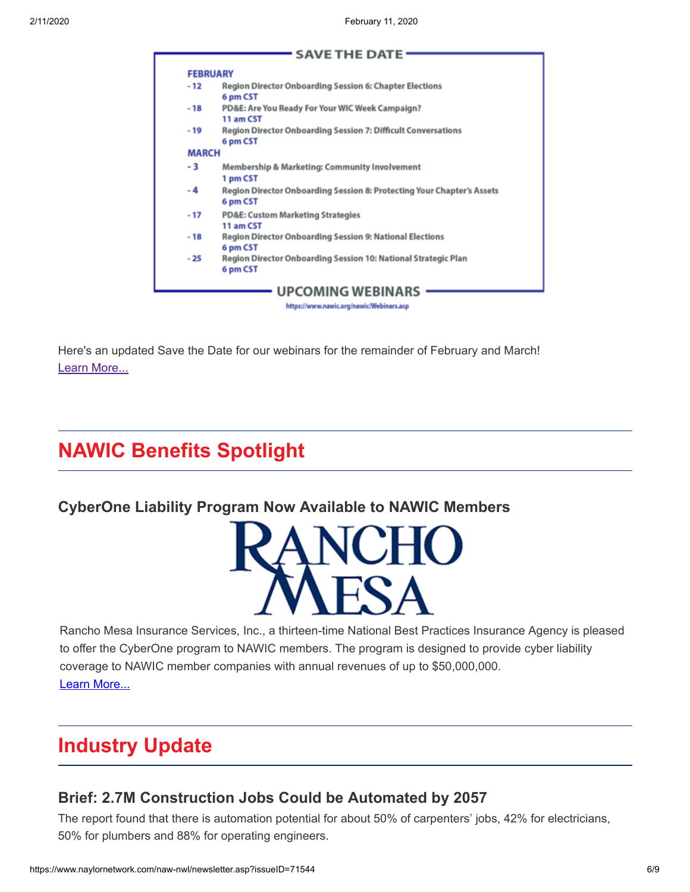|              | <b>FEBRUARY</b>                                                                    |
|--------------|------------------------------------------------------------------------------------|
| $-12$        | Region Director Onboarding Session 6: Chapter Elections<br>6 pm CST                |
| $-18$        | PD&E: Are You Ready For Your WIC Week Campaign?<br>11 am CST                       |
| - 19         | <b>Region Director Onboarding Session 7: Difficult Conversations</b><br>6 pm CST   |
| <b>MARCH</b> |                                                                                    |
| - 3          | Membership & Marketing: Community Involvement<br>1 pm CST                          |
| - 4          | Region Director Onboarding Session 8: Protecting Your Chapter's Assets<br>6 pm CST |
| - 17         | <b>PD&amp;E: Custom Marketing Strategies</b><br>11 am CST                          |
| - 18         | Region Director Onboarding Session 9: National Elections<br>6 pm CST               |
| $-25$        | Region Director Onboarding Session 10: National Strategic Plan<br>6 pm CST         |

Here's an updated Save the Date for our webinars for the remainder of February and March! [Learn More...](https://www.nawic.org/nawic/Webinars.asp)

# **NAWIC Benefits Spotlight**

### **[CyberOne Liability Program Now Available to NAWIC Members](https://www.naylornetwork.com/naw-nwl/articles/index.asp?aid=601828&issueID=71544)**



Rancho Mesa Insurance Services, Inc., a thirteen-time National Best Practices Insurance Agency is pleased to offer the CyberOne program to NAWIC members. The program is designed to provide cyber liability coverage to NAWIC member companies with annual revenues of up to \$50,000,000. [Learn More...](https://www.naylornetwork.com/naw-nwl/articles/index.asp?aid=601828&issueID=71544)

# **Industry Update**

### **[Brief: 2.7M Construction Jobs Could be Automated by 2057](https://www.constructiondive.com/news/report-27m-construction-jobs-could-be-automated-by-2057/571746/)**

The report found that there is automation potential for about 50% of carpenters' jobs, 42% for electricians, 50% for plumbers and 88% for operating engineers.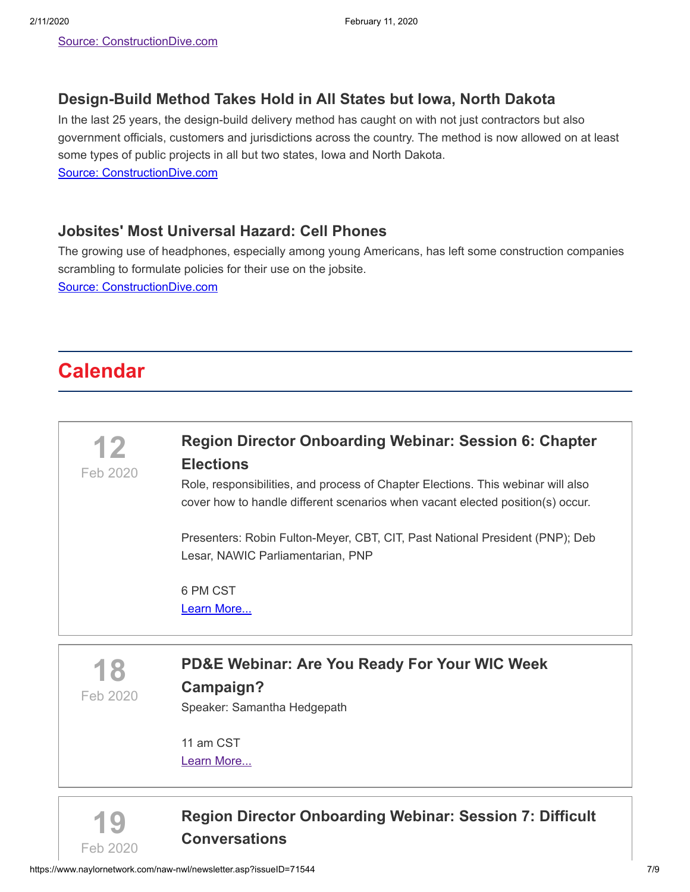### **[Design-Build Method Takes Hold in All States but Iowa, North Dakota](https://www.constructiondive.com/news/design-build-takes-hold-in-all-but-2-states/571951/)**

In the last 25 years, the design-build delivery method has caught on with not just contractors but also government officials, customers and jurisdictions across the country. The method is now allowed on at least some types of public projects in all but two states, Iowa and North Dakota. [Source: ConstructionDive.com](https://www.constructiondive.com/news/design-build-takes-hold-in-all-but-2-states/571951/)

**[Jobsites' Most Universal Hazard: Cell Phones](https://www.constructiondive.com/news/construction-most-universal-hazard-personal-cell-phones/571704/)**

The growing use of headphones, especially among young Americans, has left some construction companies scrambling to formulate policies for their use on the jobsite. [Source: ConstructionDive.com](https://www.constructiondive.com/news/construction-most-universal-hazard-personal-cell-phones/571704/)

# **Calendar**





### **[Region Director Onboarding Webinar: Session 7: Difficult](https://www.naylornetwork.com/naw-nwl/pdf/Region_Director_Onboarding_Feb_19.pdf) Conversations**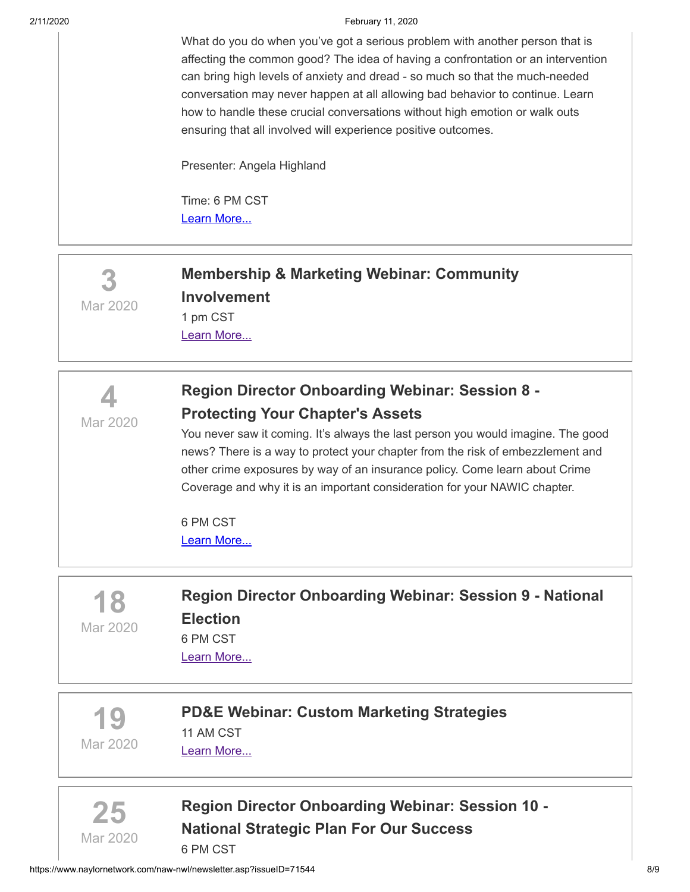#### 2/11/2020 February 11, 2020

What do you do when you've got a serious problem with another person that is affecting the common good? The idea of having a confrontation or an intervention can bring high levels of anxiety and dread - so much so that the much-needed conversation may never happen at all allowing bad behavior to continue. Learn how to handle these crucial conversations without high emotion or walk outs ensuring that all involved will experience positive outcomes.

Presenter: Angela Highland

Time: 6 PM CST [Learn More...](https://www.naylornetwork.com/naw-nwl/pdf/Region_Director_Onboarding_Feb_19.pdf)

**3** Mar 2020

# **[Membership & Marketing Webinar: Community](https://www.nawic.org/nawic/Webinars.asp) Involvement** 1 pm CST

[Learn More...](https://www.nawic.org/nawic/Webinars.asp)



# **[Region Director Onboarding Webinar: Session 8 -](https://www.naylornetwork.com/naw-nwl/pdf/Region_Director_Onboarding_Mar_4.pdf) Protecting Your Chapter's Assets**

You never saw it coming. It's always the last person you would imagine. The good news? There is a way to protect your chapter from the risk of embezzlement and other crime exposures by way of an insurance policy. Come learn about Crime Coverage and why it is an important consideration for your NAWIC chapter.

6 PM CST [Learn More...](https://www.naylornetwork.com/naw-nwl/pdf/Region_Director_Onboarding_Mar_4.pdf)

**18** Mar 2020

# **[Region Director Onboarding Webinar: Session 9 - National](https://www.nawic.org/nawic/Webinars.asp) Election** 6 PM CST

[Learn More...](https://www.nawic.org/nawic/Webinars.asp)

**19** Mar 2020

**[PD&E Webinar: Custom Marketing Strategies](https://www.nawic.org/nawic/Webinars.asp)** 11 AM CST [Learn More...](https://www.nawic.org/nawic/Webinars.asp)



**[Region Director Onboarding Webinar: Session 10 -](https://www.nawic.org/nawic/Webinars.asp) National Strategic Plan For Our Success** 6 PM CST